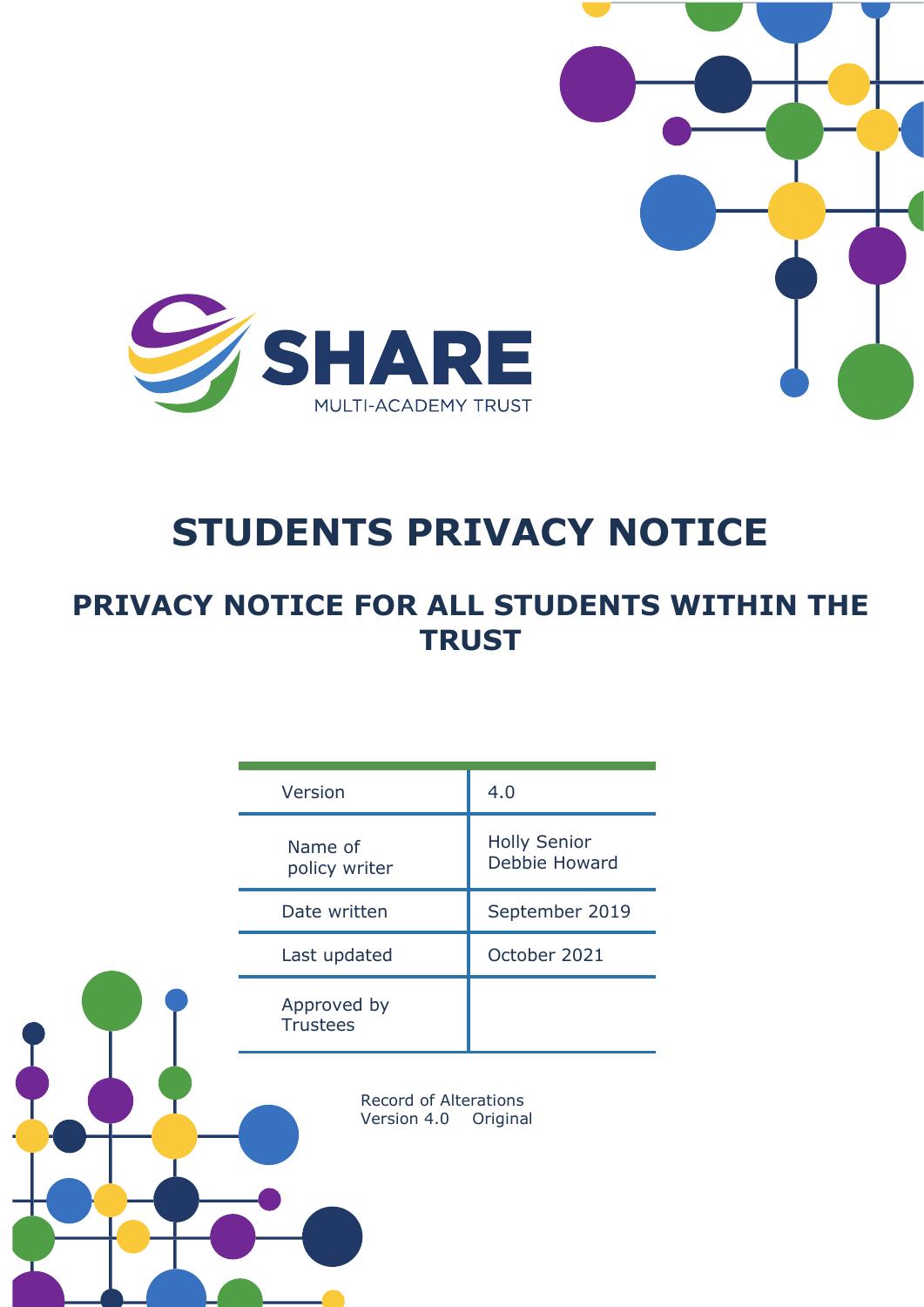

# **STUDENTS PRIVACY NOTICE**

# **PRIVACY NOTICE FOR ALL STUDENTS WITHIN THE TRUST**

| Version                                                 | 4.0                                  |
|---------------------------------------------------------|--------------------------------------|
| Name of<br>policy writer                                | <b>Holly Senior</b><br>Debbie Howard |
| Date written                                            | September 2019                       |
| Last updated                                            | October 2021                         |
| Approved by<br><b>Trustees</b>                          |                                      |
| <b>Record of Alterations</b><br>Version 4.0<br>Original |                                      |
|                                                         |                                      |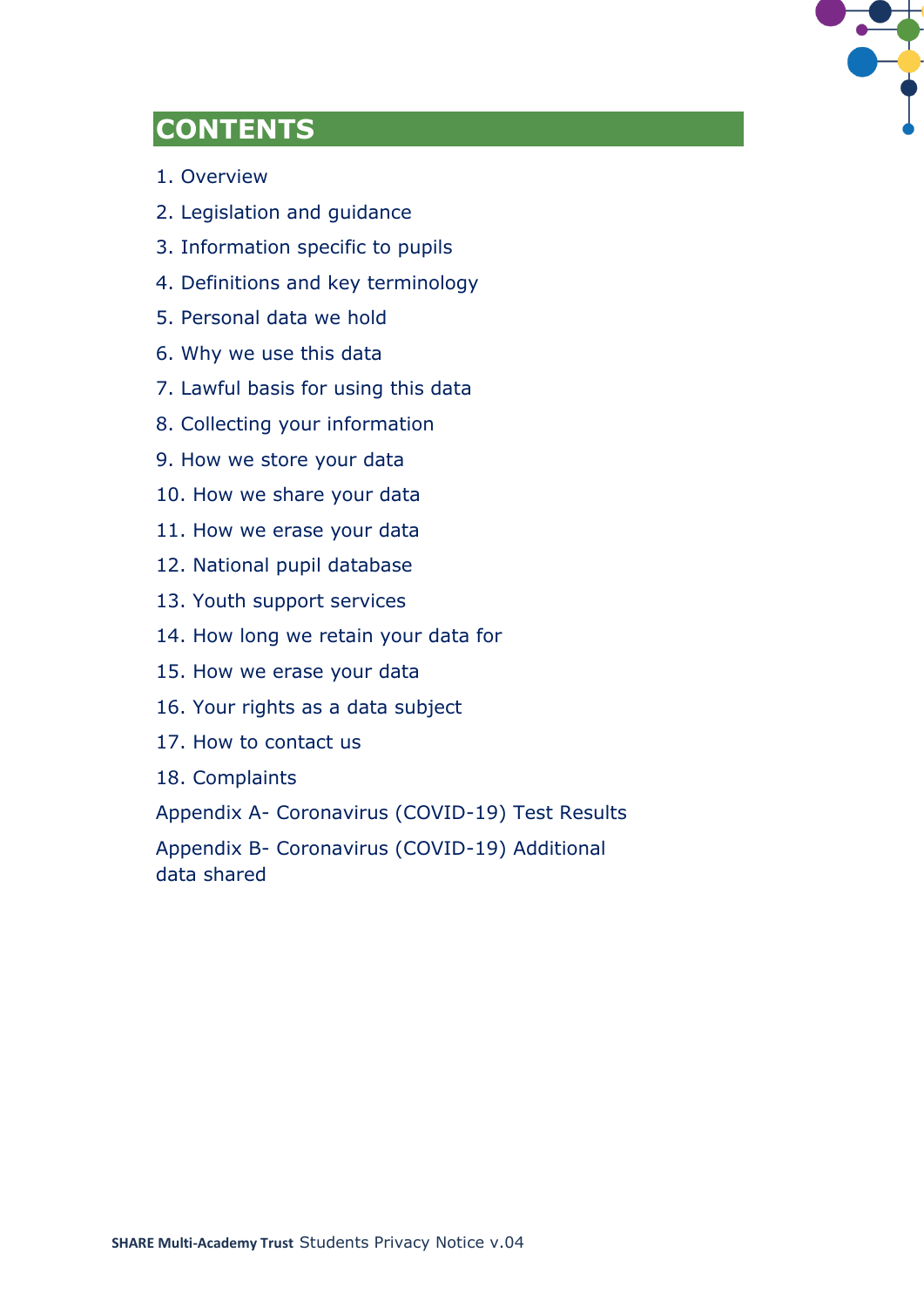

# **CONTENTS**

- 1. Overview
- 2. Legislation and guidance
- 3. Information specific to pupils
- 4. Definitions and key terminology
- 5. Personal data we hold
- 6. Why we use this data
- 7. Lawful basis for using this data
- 8. Collecting your information
- 9. How we store your data
- 10. How we share your data
- 11. How we erase your data
- 12. National pupil database
- 13. Youth support services
- 14. How long we retain your data for
- 15. How we erase your data
- 16. Your rights as a data subject
- 17. How to contact us
- 18. Complaints

Appendix A- Coronavirus (COVID-19) Test Results

Appendix B- Coronavirus (COVID-19) Additional data shared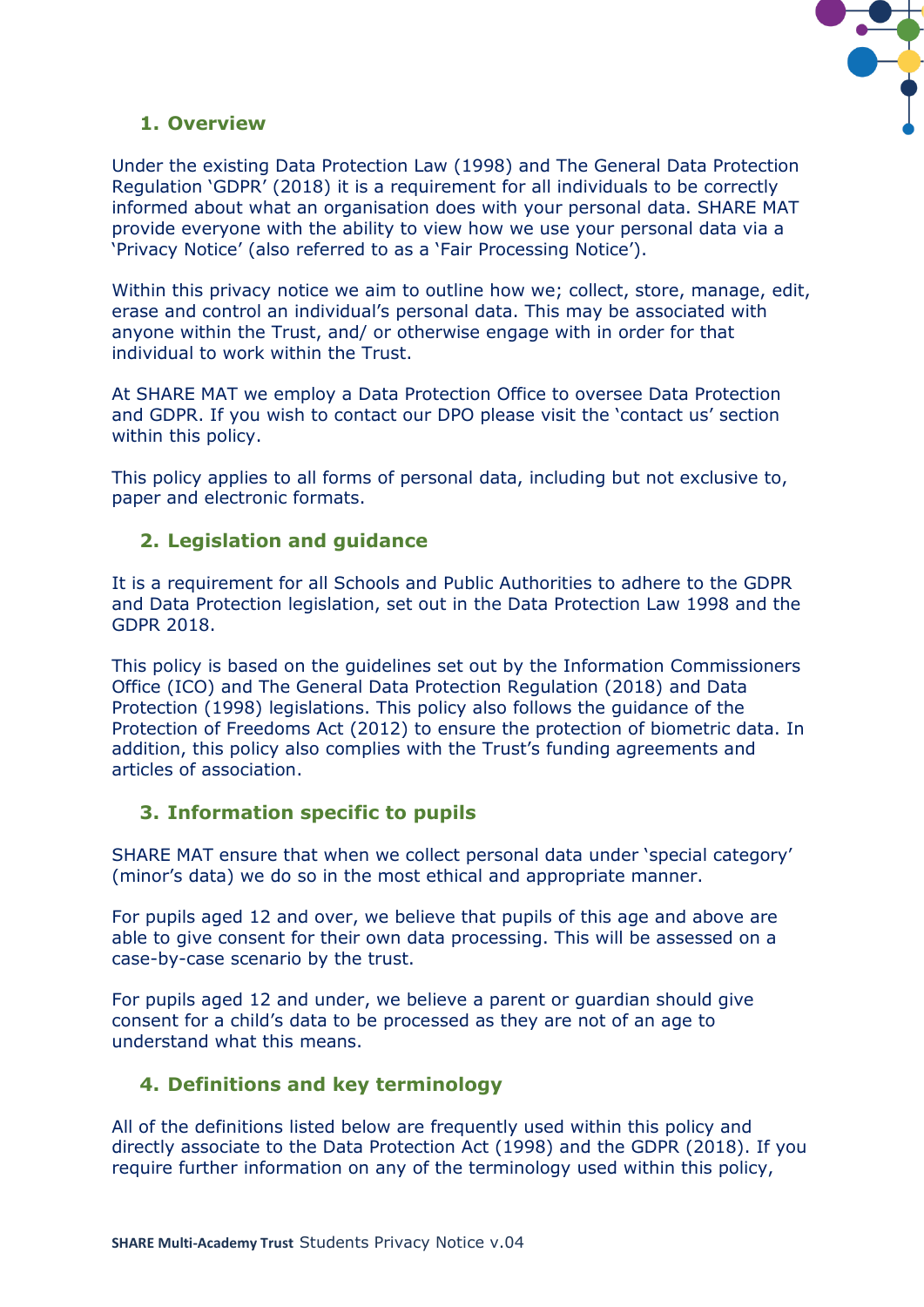

# **1. Overview**

Under the existing Data Protection Law (1998) and The General Data Protection Regulation 'GDPR' (2018) it is a requirement for all individuals to be correctly informed about what an organisation does with your personal data. SHARE MAT provide everyone with the ability to view how we use your personal data via a 'Privacy Notice' (also referred to as a 'Fair Processing Notice').

Within this privacy notice we aim to outline how we; collect, store, manage, edit, erase and control an individual's personal data. This may be associated with anyone within the Trust, and/ or otherwise engage with in order for that individual to work within the Trust.

At SHARE MAT we employ a Data Protection Office to oversee Data Protection and GDPR. If you wish to contact our DPO please visit the 'contact us' section within this policy.

This policy applies to all forms of personal data, including but not exclusive to, paper and electronic formats.

## **2. Legislation and guidance**

It is a requirement for all Schools and Public Authorities to adhere to the GDPR and Data Protection legislation, set out in the Data Protection Law 1998 and the GDPR 2018.

This policy is based on the guidelines set out by the Information Commissioners Office (ICO) and The General Data Protection Regulation (2018) and Data Protection (1998) legislations. This policy also follows the guidance of the Protection of Freedoms Act (2012) to ensure the protection of biometric data. In addition, this policy also complies with the Trust's funding agreements and articles of association.

## **3. Information specific to pupils**

SHARE MAT ensure that when we collect personal data under 'special category' (minor's data) we do so in the most ethical and appropriate manner.

For pupils aged 12 and over, we believe that pupils of this age and above are able to give consent for their own data processing. This will be assessed on a case-by-case scenario by the trust.

For pupils aged 12 and under, we believe a parent or guardian should give consent for a child's data to be processed as they are not of an age to understand what this means.

# **4. Definitions and key terminology**

All of the definitions listed below are frequently used within this policy and directly associate to the Data Protection Act (1998) and the GDPR (2018). If you require further information on any of the terminology used within this policy,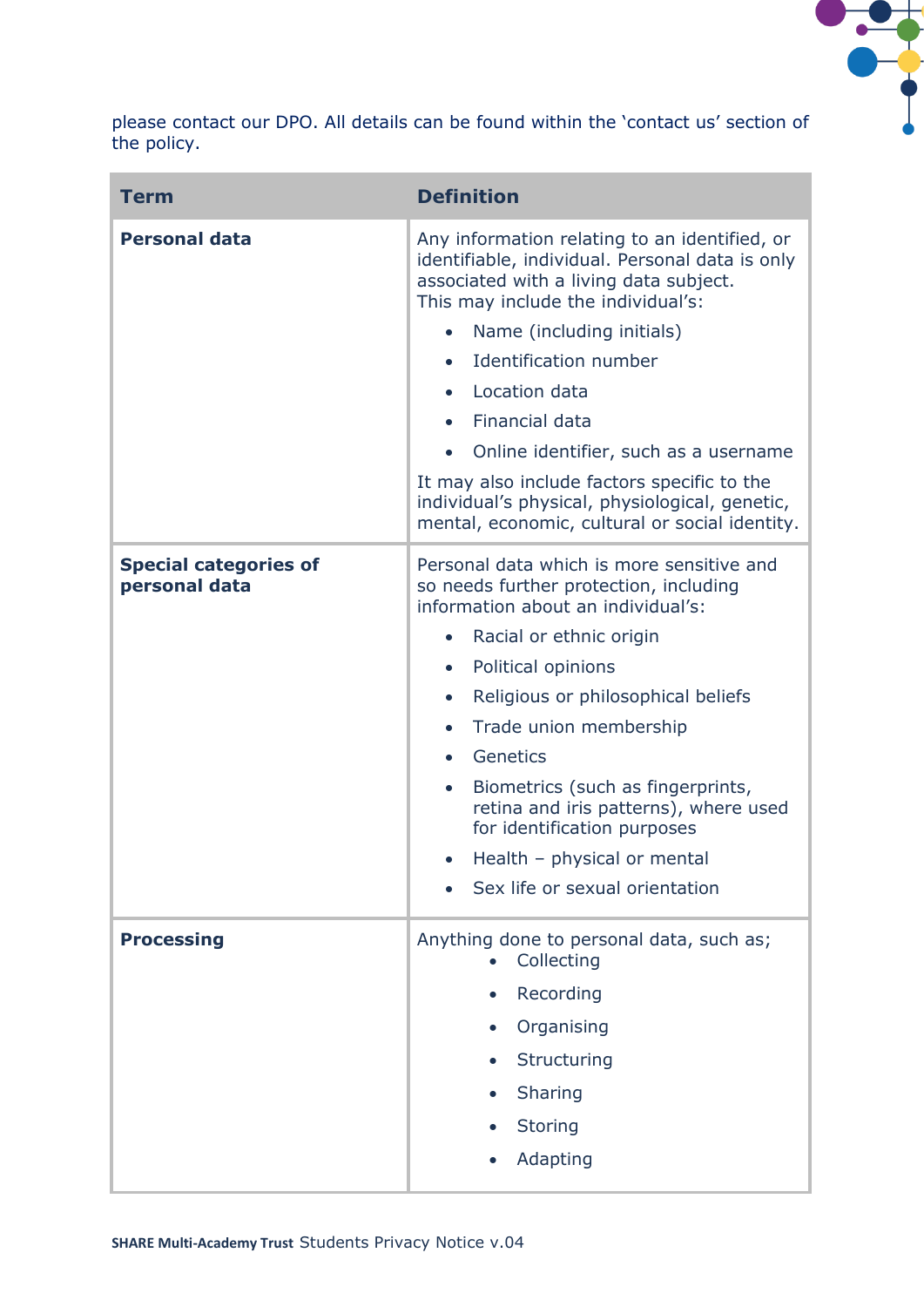

please contact our DPO. All details can be found within the 'contact us' section of the policy.

| <b>Term</b>                                   | <b>Definition</b>                                                                                                                                                                |  |
|-----------------------------------------------|----------------------------------------------------------------------------------------------------------------------------------------------------------------------------------|--|
| <b>Personal data</b>                          | Any information relating to an identified, or<br>identifiable, individual. Personal data is only<br>associated with a living data subject.<br>This may include the individual's: |  |
|                                               | Name (including initials)<br>$\bullet$                                                                                                                                           |  |
|                                               | Identification number<br>$\bullet$                                                                                                                                               |  |
|                                               | Location data<br>$\bullet$                                                                                                                                                       |  |
|                                               | Financial data<br>$\bullet$                                                                                                                                                      |  |
|                                               | Online identifier, such as a username                                                                                                                                            |  |
|                                               | It may also include factors specific to the<br>individual's physical, physiological, genetic,<br>mental, economic, cultural or social identity.                                  |  |
| <b>Special categories of</b><br>personal data | Personal data which is more sensitive and<br>so needs further protection, including<br>information about an individual's:                                                        |  |
|                                               | Racial or ethnic origin<br>$\bullet$                                                                                                                                             |  |
|                                               | Political opinions<br>$\bullet$                                                                                                                                                  |  |
|                                               | Religious or philosophical beliefs<br>$\bullet$                                                                                                                                  |  |
|                                               | Trade union membership<br>$\bullet$                                                                                                                                              |  |
|                                               | Genetics<br>$\bullet$                                                                                                                                                            |  |
|                                               | Biometrics (such as fingerprints,<br>$\bullet$<br>retina and iris patterns), where used<br>for identification purposes                                                           |  |
|                                               | Health - physical or mental                                                                                                                                                      |  |
|                                               | Sex life or sexual orientation                                                                                                                                                   |  |
| <b>Processing</b>                             | Anything done to personal data, such as;<br>Collecting                                                                                                                           |  |
|                                               | Recording<br>$\bullet$                                                                                                                                                           |  |
|                                               | Organising                                                                                                                                                                       |  |
|                                               | Structuring<br>$\bullet$                                                                                                                                                         |  |
|                                               | Sharing                                                                                                                                                                          |  |
|                                               | <b>Storing</b>                                                                                                                                                                   |  |
|                                               | Adapting                                                                                                                                                                         |  |
|                                               |                                                                                                                                                                                  |  |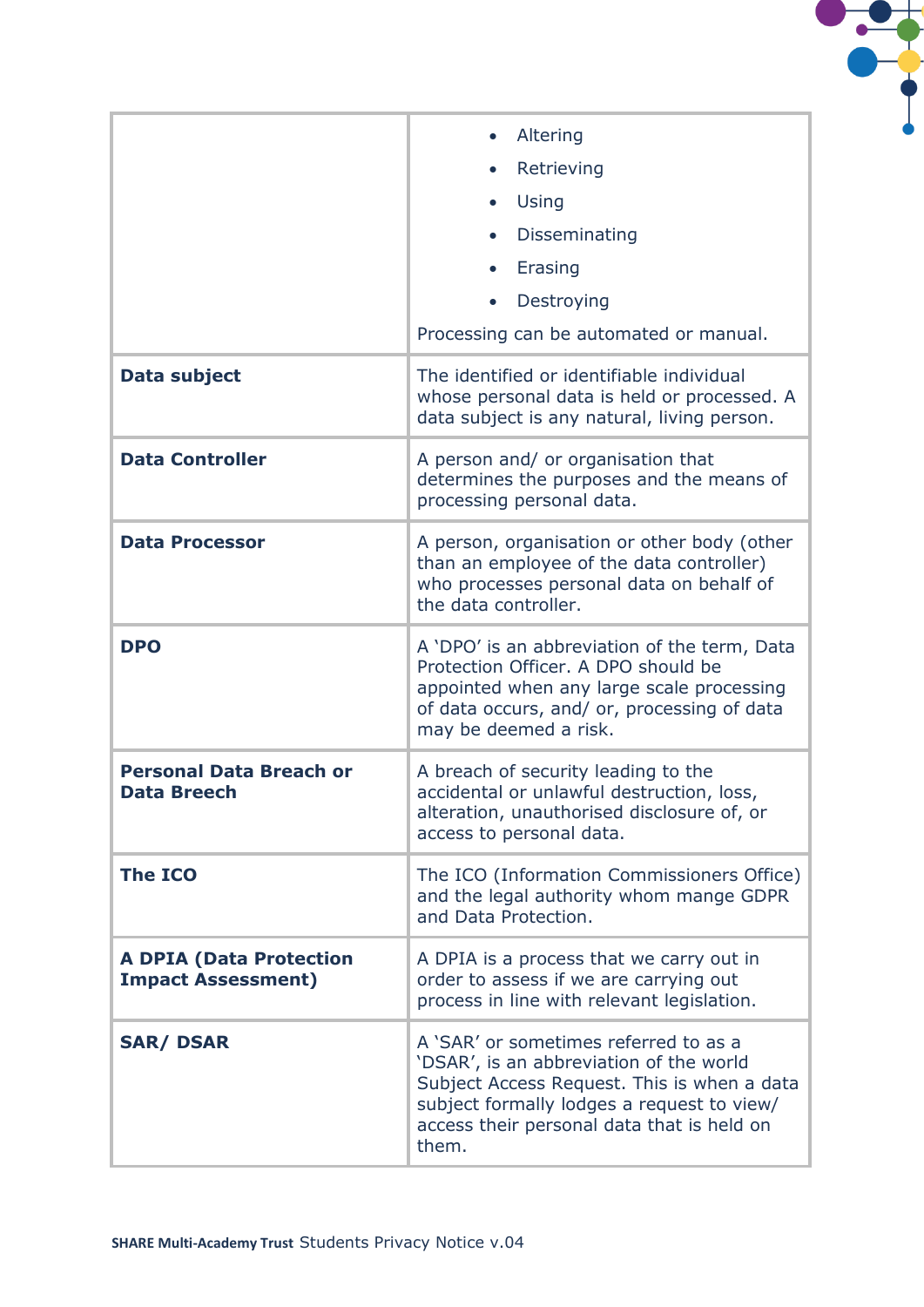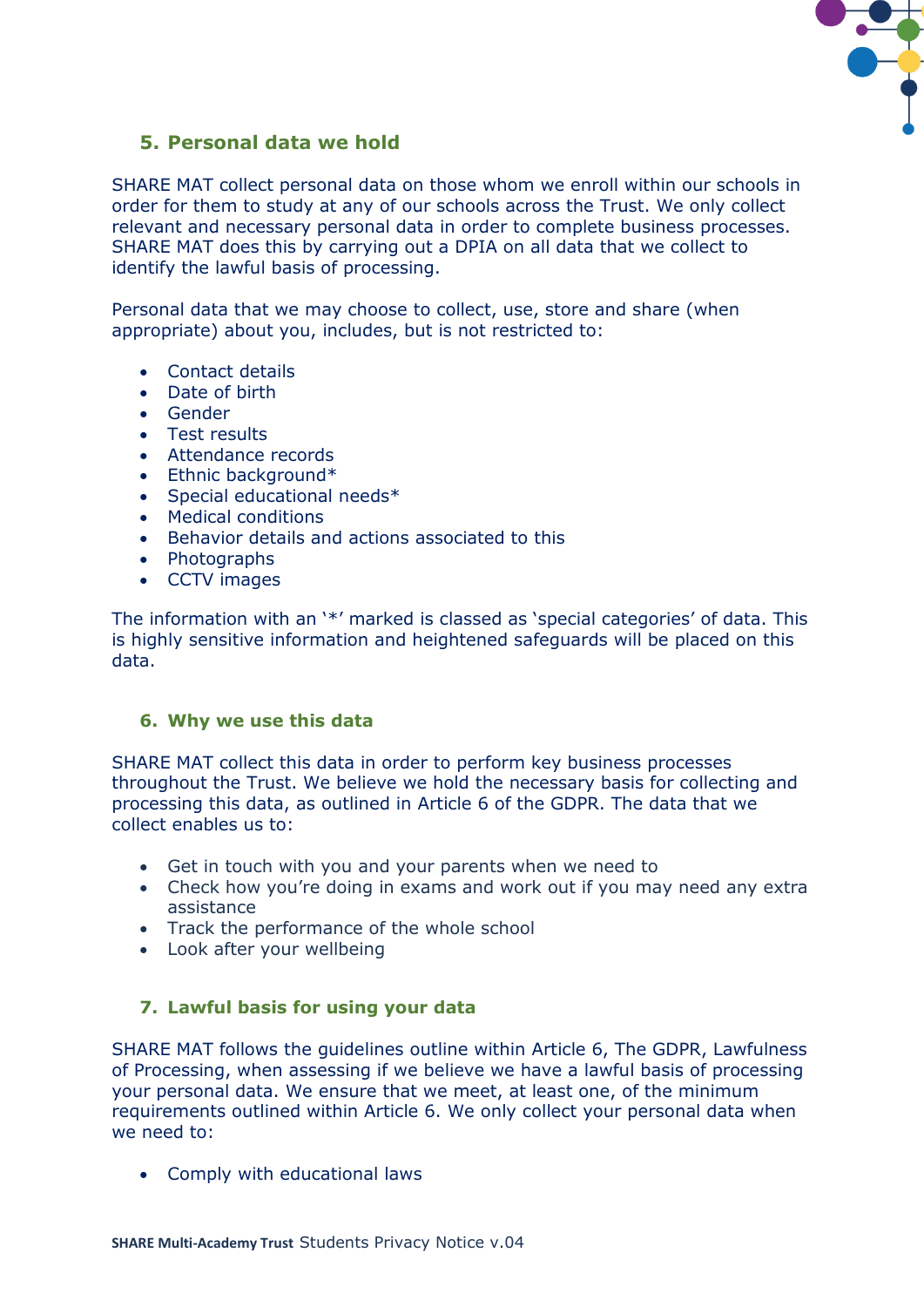

# **5. Personal data we hold**

SHARE MAT collect personal data on those whom we enroll within our schools in order for them to study at any of our schools across the Trust. We only collect relevant and necessary personal data in order to complete business processes. SHARE MAT does this by carrying out a DPIA on all data that we collect to identify the lawful basis of processing.

Personal data that we may choose to collect, use, store and share (when appropriate) about you, includes, but is not restricted to:

- Contact details
- Date of birth
- Gender
- Test results
- Attendance records
- Ethnic background\*
- Special educational needs\*
- Medical conditions
- Behavior details and actions associated to this
- Photographs
- CCTV images

The information with an '\*' marked is classed as 'special categories' of data. This is highly sensitive information and heightened safeguards will be placed on this data.

#### **6. Why we use this data**

SHARE MAT collect this data in order to perform key business processes throughout the Trust. We believe we hold the necessary basis for collecting and processing this data, as outlined in Article 6 of the GDPR. The data that we collect enables us to:

- Get in touch with you and your parents when we need to
- Check how you're doing in exams and work out if you may need any extra assistance
- Track the performance of the whole school
- Look after your wellbeing

#### **7. Lawful basis for using your data**

SHARE MAT follows the guidelines outline within Article 6, The GDPR, Lawfulness of Processing, when assessing if we believe we have a lawful basis of processing your personal data. We ensure that we meet, at least one, of the minimum requirements outlined within Article 6. We only collect your personal data when we need to:

• Comply with educational laws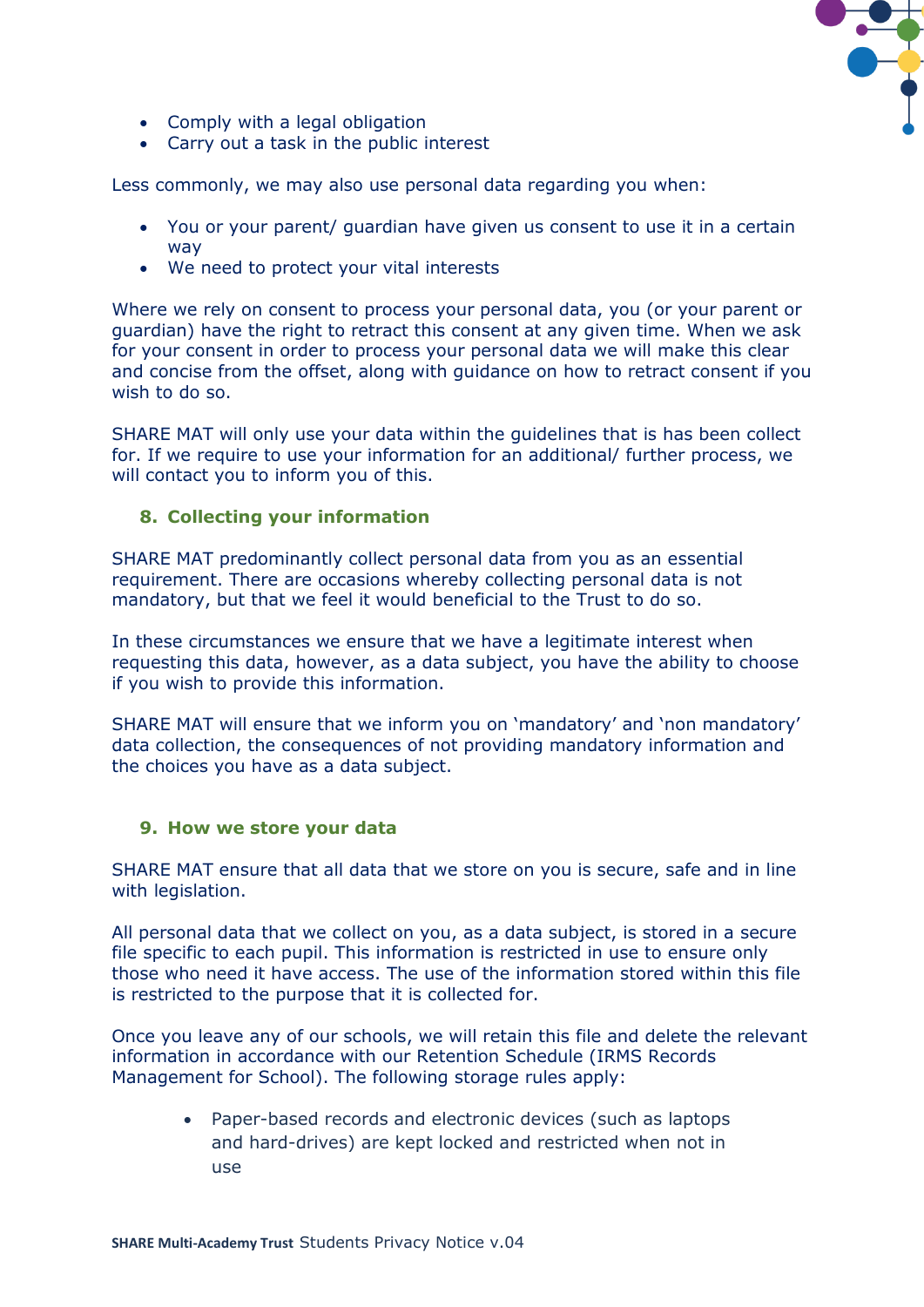

- Comply with a legal obligation
- Carry out a task in the public interest

Less commonly, we may also use personal data regarding you when:

- You or your parent/ guardian have given us consent to use it in a certain way
- We need to protect your vital interests

Where we rely on consent to process your personal data, you (or your parent or guardian) have the right to retract this consent at any given time. When we ask for your consent in order to process your personal data we will make this clear and concise from the offset, along with guidance on how to retract consent if you wish to do so.

SHARE MAT will only use your data within the guidelines that is has been collect for. If we require to use your information for an additional/ further process, we will contact you to inform you of this.

#### **8. Collecting your information**

SHARE MAT predominantly collect personal data from you as an essential requirement. There are occasions whereby collecting personal data is not mandatory, but that we feel it would beneficial to the Trust to do so.

In these circumstances we ensure that we have a legitimate interest when requesting this data, however, as a data subject, you have the ability to choose if you wish to provide this information.

SHARE MAT will ensure that we inform you on 'mandatory' and 'non mandatory' data collection, the consequences of not providing mandatory information and the choices you have as a data subject.

#### **9. How we store your data**

SHARE MAT ensure that all data that we store on you is secure, safe and in line with legislation.

All personal data that we collect on you, as a data subject, is stored in a secure file specific to each pupil. This information is restricted in use to ensure only those who need it have access. The use of the information stored within this file is restricted to the purpose that it is collected for.

Once you leave any of our schools, we will retain this file and delete the relevant information in accordance with our Retention Schedule (IRMS Records Management for School). The following storage rules apply:

> • Paper-based records and electronic devices (such as laptops and hard-drives) are kept locked and restricted when not in use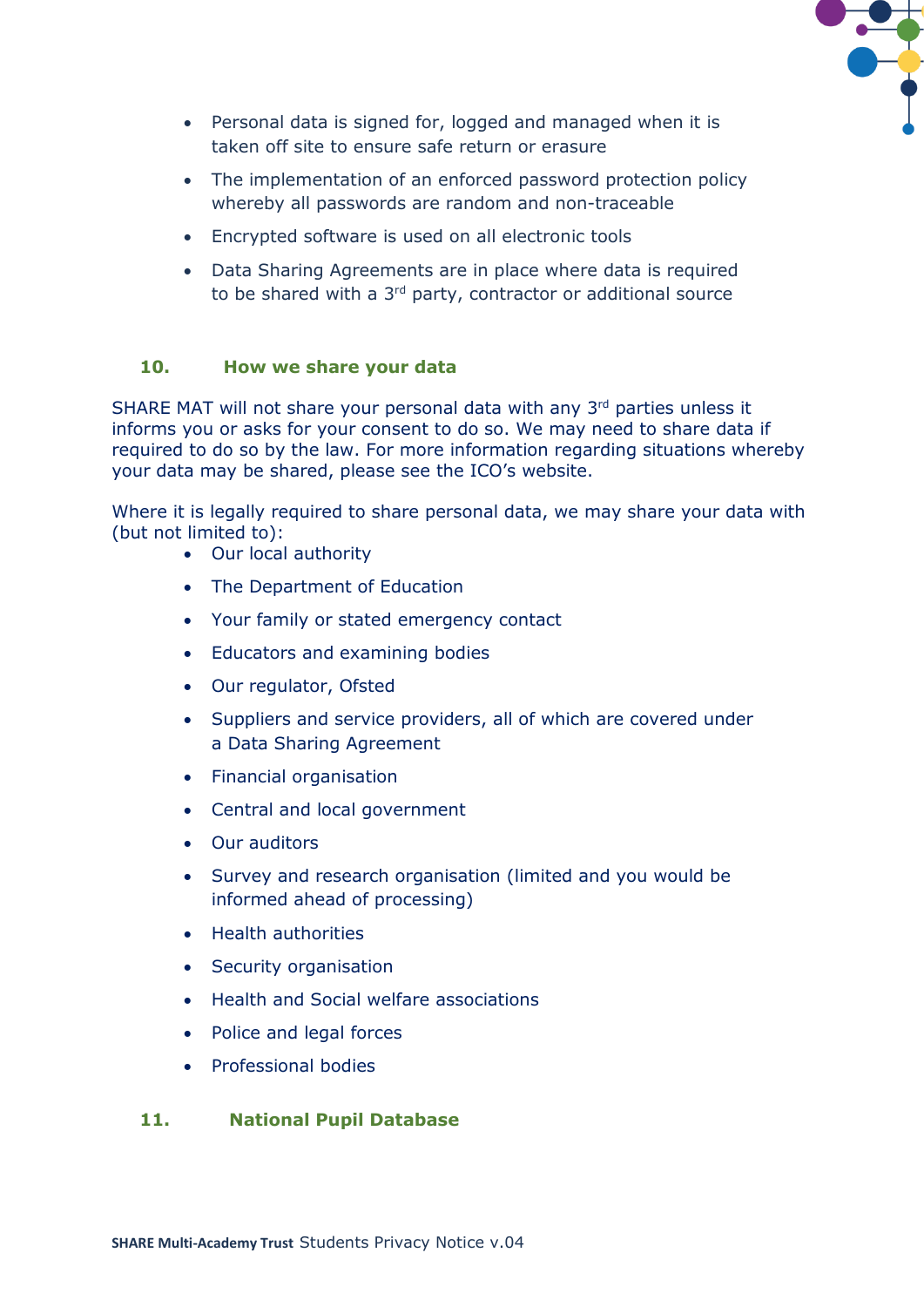

- Personal data is signed for, logged and managed when it is taken off site to ensure safe return or erasure
- The implementation of an enforced password protection policy whereby all passwords are random and non-traceable
- Encrypted software is used on all electronic tools
- Data Sharing Agreements are in place where data is required to be shared with a 3<sup>rd</sup> party, contractor or additional source

#### **10. How we share your data**

SHARE MAT will not share your personal data with any  $3<sup>rd</sup>$  parties unless it informs you or asks for your consent to do so. We may need to share data if required to do so by the law. For more information regarding situations whereby your data may be shared, please see the ICO's website.

Where it is legally required to share personal data, we may share your data with (but not limited to):

- Our local authority
- The Department of Education
- Your family or stated emergency contact
- Educators and examining bodies
- Our regulator, Ofsted
- Suppliers and service providers, all of which are covered under a Data Sharing Agreement
- Financial organisation
- Central and local government
- Our auditors
- Survey and research organisation (limited and you would be informed ahead of processing)
- Health authorities
- Security organisation
- Health and Social welfare associations
- Police and legal forces
- Professional bodies

#### **11. National Pupil Database**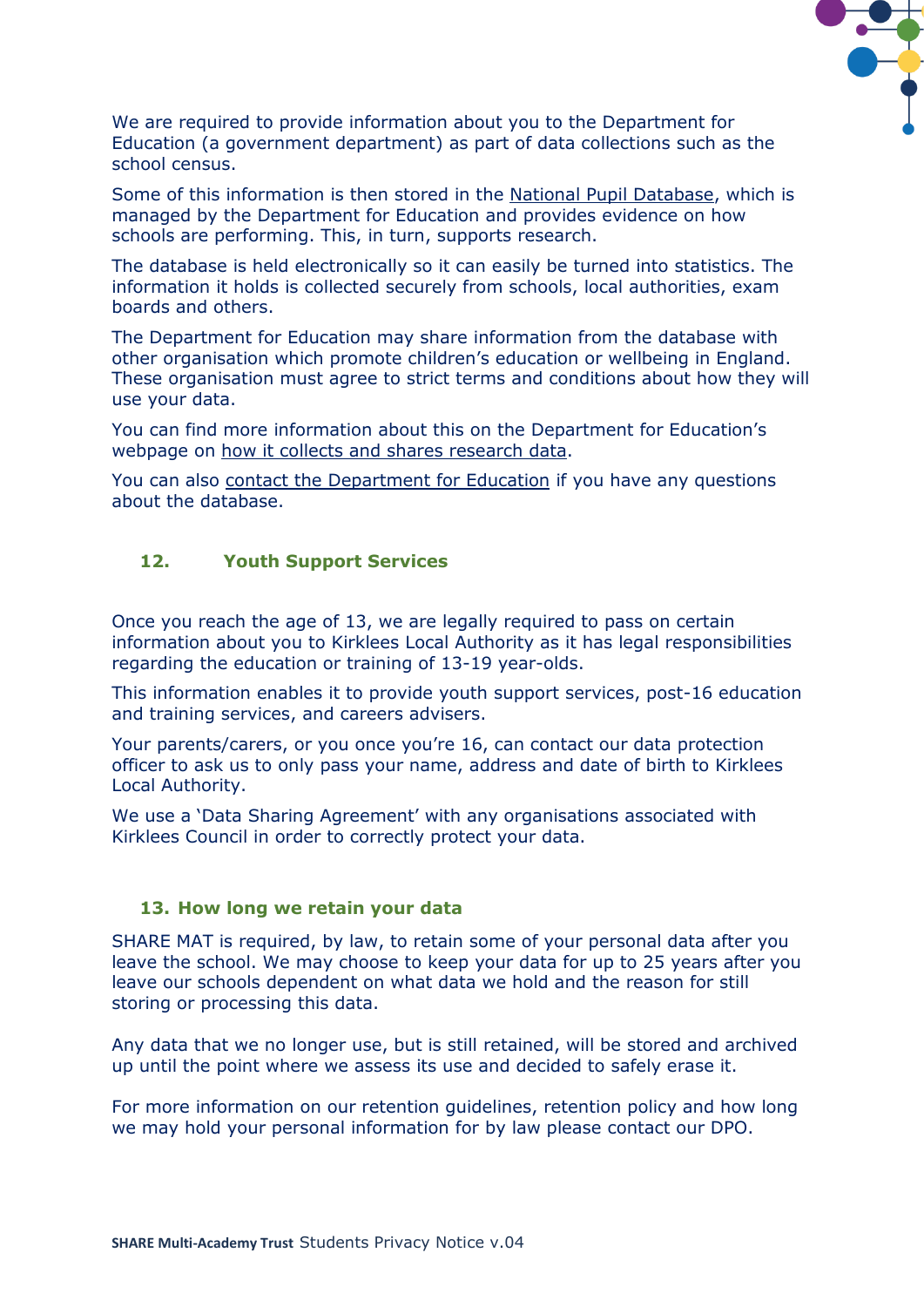

We are required to provide information about you to the Department for Education (a government department) as part of data collections such as the school census.

Some of this information is then stored in the [National Pupil Database,](https://www.gov.uk/government/publications/national-pupil-database-user-guide-and-supporting-information) which is managed by the Department for Education and provides evidence on how schools are performing. This, in turn, supports research.

The database is held electronically so it can easily be turned into statistics. The information it holds is collected securely from schools, local authorities, exam boards and others.

The Department for Education may share information from the database with other organisation which promote children's education or wellbeing in England. These organisation must agree to strict terms and conditions about how they will use your data.

You can find more information about this on the Department for Education's webpage on [how it collects and shares research data.](https://www.gov.uk/data-protection-how-we-collect-and-share-research-data)

You can also [contact the Department for Education](https://www.gov.uk/contact-dfe) if you have any questions about the database.

#### **12. Youth Support Services**

Once you reach the age of 13, we are legally required to pass on certain information about you to Kirklees Local Authority as it has legal responsibilities regarding the education or training of 13-19 year-olds.

This information enables it to provide youth support services, post-16 education and training services, and careers advisers.

Your parents/carers, or you once you're 16, can contact our data protection officer to ask us to only pass your name, address and date of birth to Kirklees Local Authority.

We use a 'Data Sharing Agreement' with any organisations associated with Kirklees Council in order to correctly protect your data.

#### **13. How long we retain your data**

SHARE MAT is required, by law, to retain some of your personal data after you leave the school. We may choose to keep your data for up to 25 years after you leave our schools dependent on what data we hold and the reason for still storing or processing this data.

Any data that we no longer use, but is still retained, will be stored and archived up until the point where we assess its use and decided to safely erase it.

For more information on our retention guidelines, retention policy and how long we may hold your personal information for by law please contact our DPO.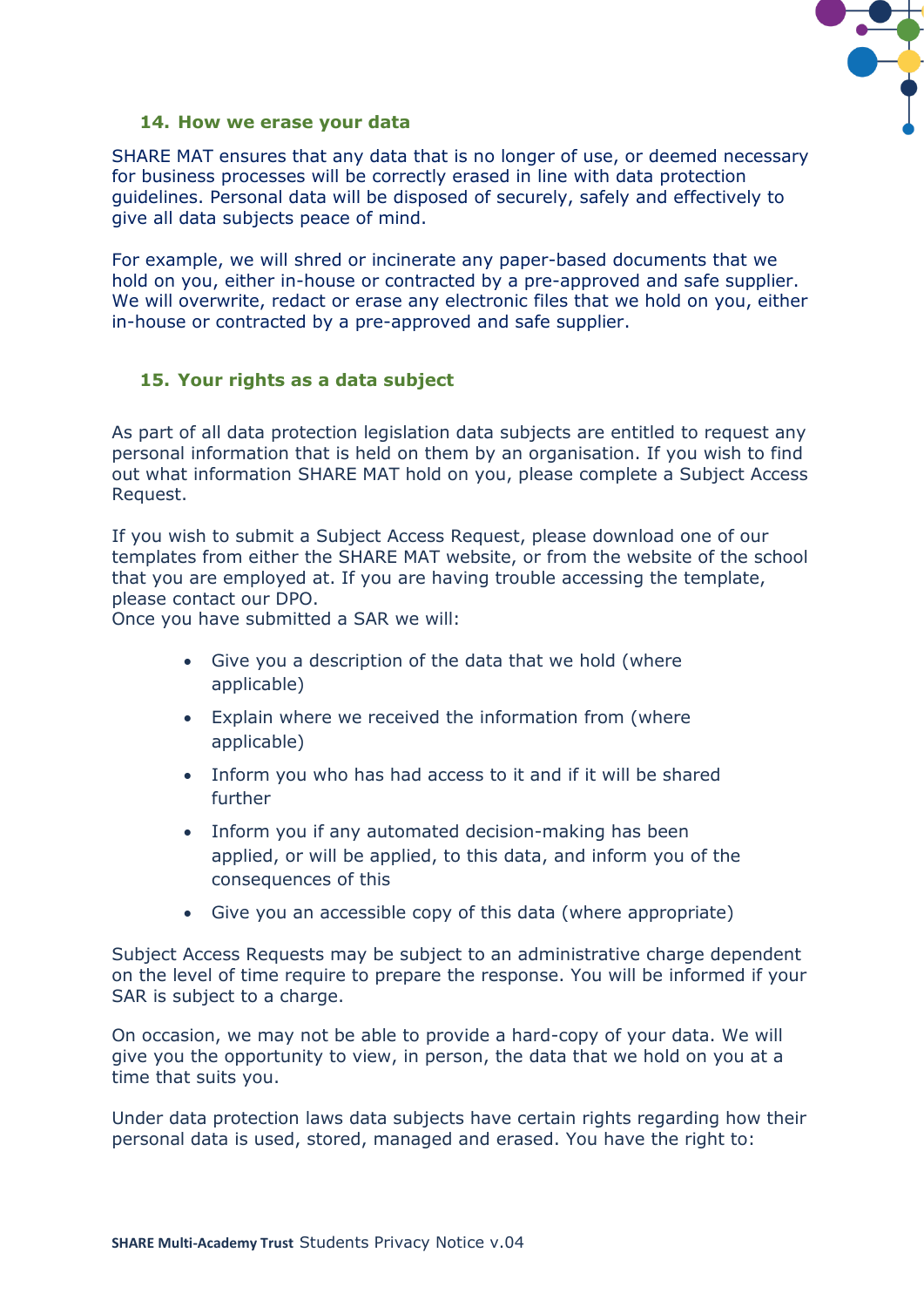

#### **14. How we erase your data**

SHARE MAT ensures that any data that is no longer of use, or deemed necessary for business processes will be correctly erased in line with data protection guidelines. Personal data will be disposed of securely, safely and effectively to give all data subjects peace of mind.

For example, we will shred or incinerate any paper-based documents that we hold on you, either in-house or contracted by a pre-approved and safe supplier. We will overwrite, redact or erase any electronic files that we hold on you, either in-house or contracted by a pre-approved and safe supplier.

#### **15. Your rights as a data subject**

As part of all data protection legislation data subjects are entitled to request any personal information that is held on them by an organisation. If you wish to find out what information SHARE MAT hold on you, please complete a Subject Access Request.

If you wish to submit a Subject Access Request, please download one of our templates from either the SHARE MAT website, or from the website of the school that you are employed at. If you are having trouble accessing the template, please contact our DPO.

Once you have submitted a SAR we will:

- Give you a description of the data that we hold (where applicable)
- Explain where we received the information from (where applicable)
- Inform you who has had access to it and if it will be shared further
- Inform you if any automated decision-making has been applied, or will be applied, to this data, and inform you of the consequences of this
- Give you an accessible copy of this data (where appropriate)

Subject Access Requests may be subject to an administrative charge dependent on the level of time require to prepare the response. You will be informed if your SAR is subject to a charge.

On occasion, we may not be able to provide a hard-copy of your data. We will give you the opportunity to view, in person, the data that we hold on you at a time that suits you.

Under data protection laws data subjects have certain rights regarding how their personal data is used, stored, managed and erased. You have the right to: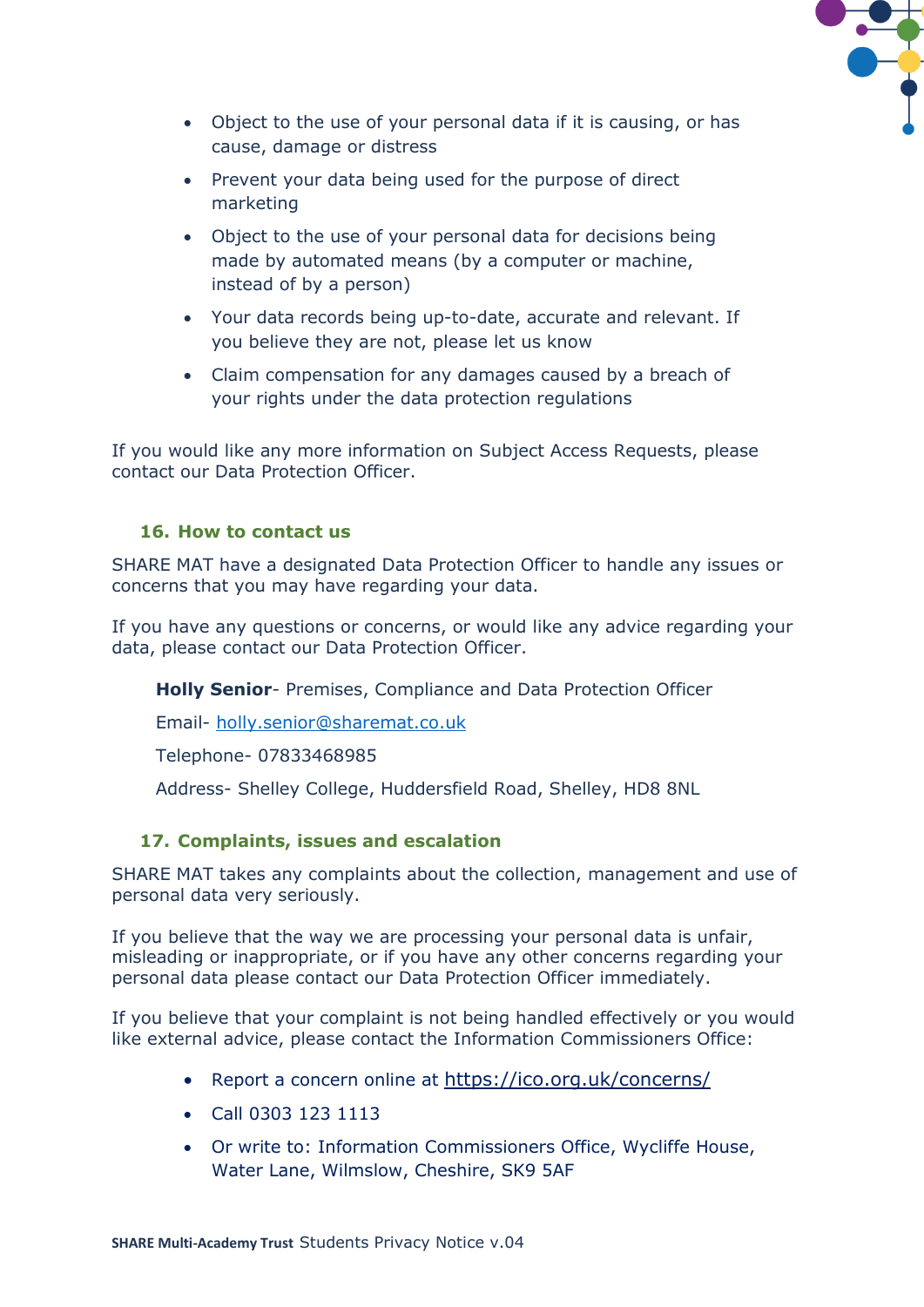

- Object to the use of your personal data if it is causing, or has cause, damage or distress
- Prevent your data being used for the purpose of direct marketing
- Object to the use of your personal data for decisions being made by automated means (by a computer or machine, instead of by a person)
- Your data records being up-to-date, accurate and relevant. If you believe they are not, please let us know
- Claim compensation for any damages caused by a breach of your rights under the data protection regulations

If you would like any more information on Subject Access Requests, please contact our Data Protection Officer.

# **16. How to contact us**

SHARE MAT have a designated Data Protection Officer to handle any issues or concerns that you may have regarding your data.

If you have any questions or concerns, or would like any advice regarding your data, please contact our Data Protection Officer.

**Holly Senior**- Premises, Compliance and Data Protection Officer

Email- [holly.senior@sharemat.co.uk](mailto:holly.senior@sharemat.co.uk)

Telephone- 07833468985

Address- Shelley College, Huddersfield Road, Shelley, HD8 8NL

# **17. Complaints, issues and escalation**

SHARE MAT takes any complaints about the collection, management and use of personal data very seriously.

If you believe that the way we are processing your personal data is unfair, misleading or inappropriate, or if you have any other concerns regarding your personal data please contact our Data Protection Officer immediately.

If you believe that your complaint is not being handled effectively or you would like external advice, please contact the Information Commissioners Office:

- Report a concern online at <https://ico.org.uk/concerns/>
- Call 0303 123 1113
- Or write to: Information Commissioners Office, Wycliffe House, Water Lane, Wilmslow, Cheshire, SK9 5AF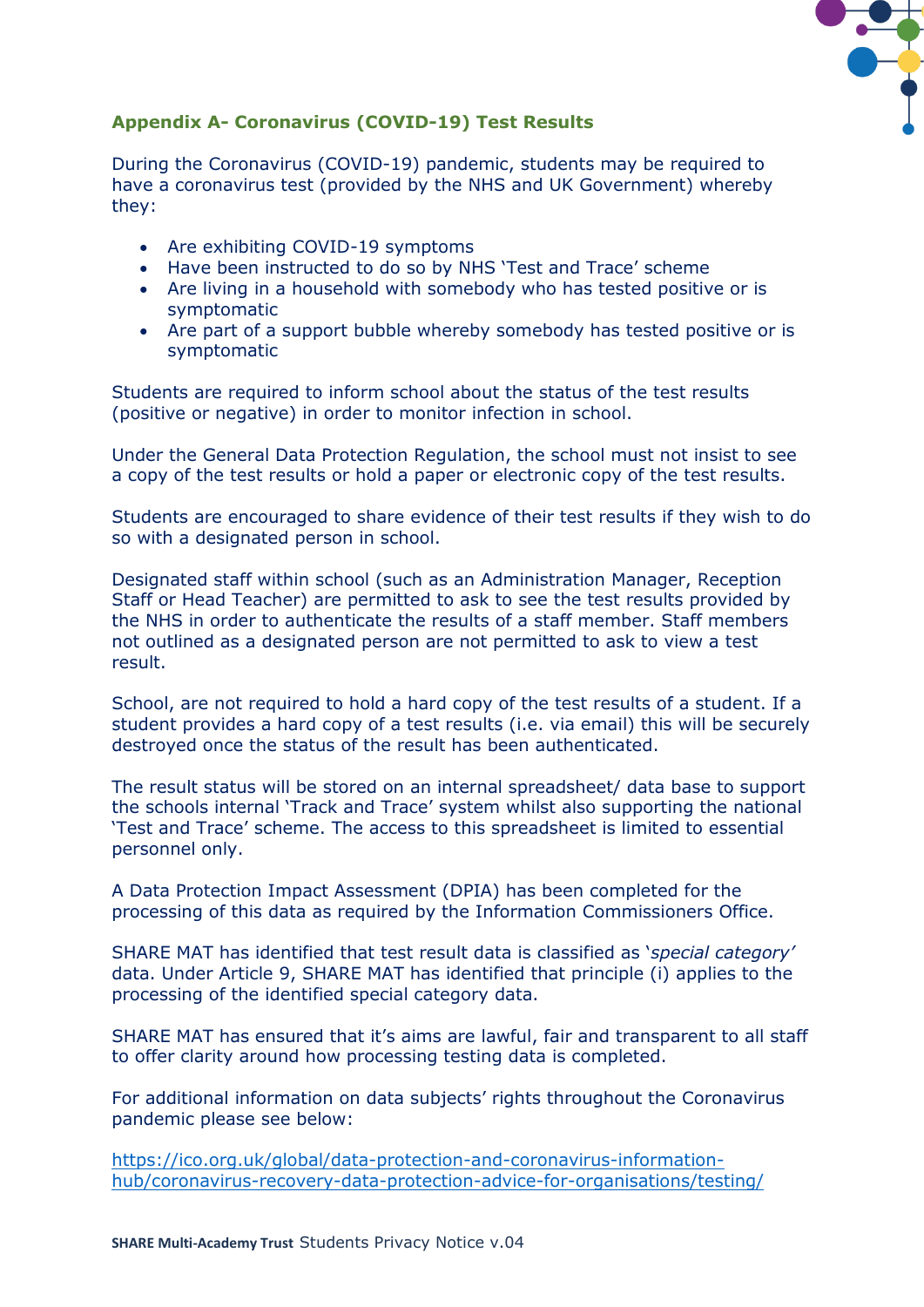

# **Appendix A- Coronavirus (COVID-19) Test Results**

During the Coronavirus (COVID-19) pandemic, students may be required to have a coronavirus test (provided by the NHS and UK Government) whereby they:

- Are exhibiting COVID-19 symptoms
- Have been instructed to do so by NHS 'Test and Trace' scheme
- Are living in a household with somebody who has tested positive or is symptomatic
- Are part of a support bubble whereby somebody has tested positive or is symptomatic

Students are required to inform school about the status of the test results (positive or negative) in order to monitor infection in school.

Under the General Data Protection Regulation, the school must not insist to see a copy of the test results or hold a paper or electronic copy of the test results.

Students are encouraged to share evidence of their test results if they wish to do so with a designated person in school.

Designated staff within school (such as an Administration Manager, Reception Staff or Head Teacher) are permitted to ask to see the test results provided by the NHS in order to authenticate the results of a staff member. Staff members not outlined as a designated person are not permitted to ask to view a test result.

School, are not required to hold a hard copy of the test results of a student. If a student provides a hard copy of a test results (i.e. via email) this will be securely destroyed once the status of the result has been authenticated.

The result status will be stored on an internal spreadsheet/ data base to support the schools internal 'Track and Trace' system whilst also supporting the national 'Test and Trace' scheme. The access to this spreadsheet is limited to essential personnel only.

A Data Protection Impact Assessment (DPIA) has been completed for the processing of this data as required by the Information Commissioners Office.

SHARE MAT has identified that test result data is classified as '*special category'* data. Under Article 9, SHARE MAT has identified that principle (i) applies to the processing of the identified special category data.

SHARE MAT has ensured that it's aims are lawful, fair and transparent to all staff to offer clarity around how processing testing data is completed.

For additional information on data subjects' rights throughout the Coronavirus pandemic please see below:

[https://ico.org.uk/global/data-protection-and-coronavirus-information](https://ico.org.uk/global/data-protection-and-coronavirus-information-hub/coronavirus-recovery-data-protection-advice-for-organisations/testing/)[hub/coronavirus-recovery-data-protection-advice-for-organisations/testing/](https://ico.org.uk/global/data-protection-and-coronavirus-information-hub/coronavirus-recovery-data-protection-advice-for-organisations/testing/)